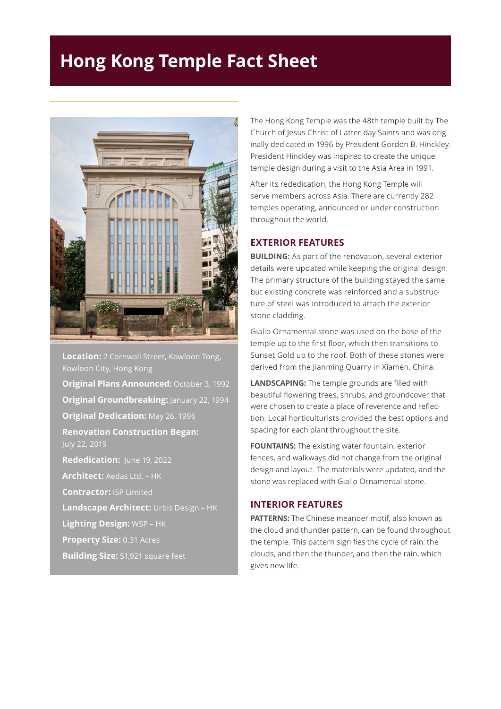## **Hong Kong Temple Fact Sheet**



**Location:** 2 Cornwall Street, Kowloon Tong, Kowloon City, Hong Kong

**Original Plans Announced:** October 3, 1992 **Original Groundbreaking: January 22, 1994 Original Dedication:** May 26, 1996 **Renovation Construction Began:** July 22, 2019 **Rededication:** June 19, 2022 **Architect:** Aedas Ltd. – HK **Contractor:** ISP Limited

**Landscape Architect:** Urbis Design – HK

**Lighting Design:** WSP – HK

**Property Size:** 0.31 Acres

**Building Size:** 51,921 square feet

The Hong Kong Temple was the 48th temple built by The Church of Jesus Christ of Latter-day Saints and was originally dedicated in 1996 by President Gordon B. Hinckley. President Hinckley was inspired to create the unique temple design during a visit to the Asia Area in 1991.

After its rededication, the Hong Kong Temple will serve members across Asia. There are currently 282 temples operating, announced or under construction throughout the world.

## **EXTERIOR FEATURES**

**BUILDING:** As part of the renovation, several exterior details were updated while keeping the original design. The primary structure of the building stayed the same but existing concrete was reinforced and a substructure of steel was introduced to attach the exterior stone cladding.

Giallo Ornamental stone was used on the base of the temple up to the first floor, which then transitions to Sunset Gold up to the roof. Both of these stones were derived from the Jianming Quarry in Xiamen, China.

**LANDSCAPING:** The temple grounds are filled with beautiful flowering trees, shrubs, and groundcover that were chosen to create a place of reverence and reflection. Local horticulturists provided the best options and spacing for each plant throughout the site.

**FOUNTAINS:** The existing water fountain, exterior fences, and walkways did not change from the original design and layout. The materials were updated, and the stone was replaced with Giallo Ornamental stone.

## **INTERIOR FEATURES**

**PATTERNS:** The Chinese meander motif, also known as the cloud and thunder pattern, can be found throughout the temple. This pattern signifies the cycle of rain: the clouds, and then the thunder, and then the rain, which gives new life.